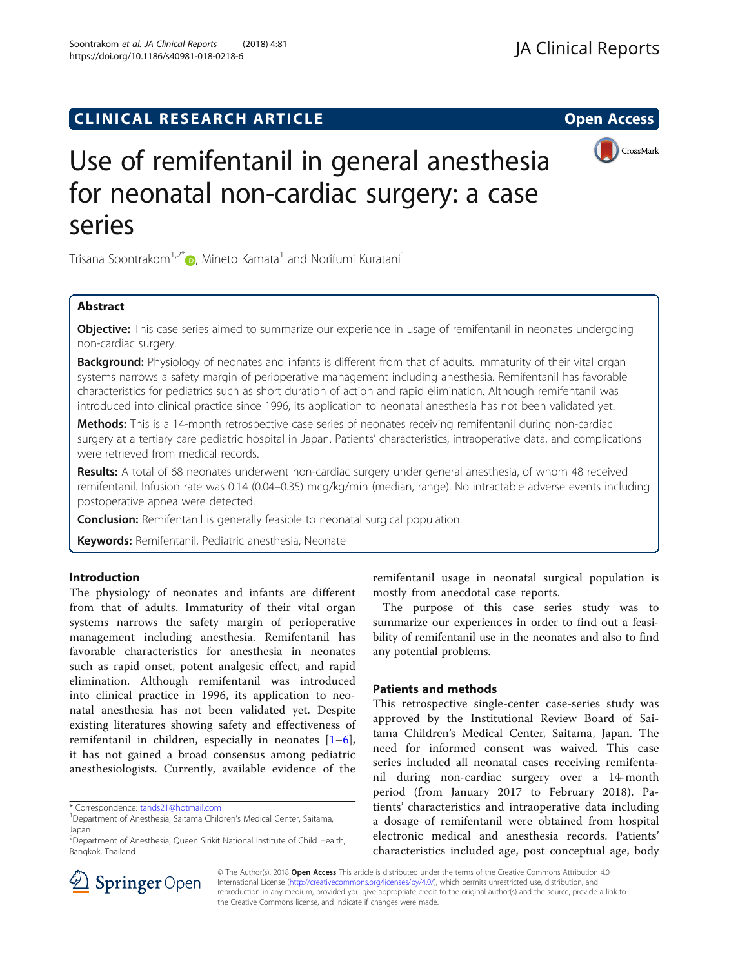## **CLINICAL RESEARCH ARTICLE CLINICAL RESEARCH ARTICLE Open Access**

# Use of remifentanil in general anesthesia for neonatal non-cardiac surgery: a case

Trisana Soontrakom<sup>1,2[\\*](http://orcid.org/0000-0001-8396-5913)</sup> $\bullet$ , Mineto Kamata<sup>1</sup> and Norifumi Kuratani<sup>1</sup>

## Abstract

series

Objective: This case series aimed to summarize our experience in usage of remifentanil in neonates undergoing non-cardiac surgery.

Background: Physiology of neonates and infants is different from that of adults. Immaturity of their vital organ systems narrows a safety margin of perioperative management including anesthesia. Remifentanil has favorable characteristics for pediatrics such as short duration of action and rapid elimination. Although remifentanil was introduced into clinical practice since 1996, its application to neonatal anesthesia has not been validated yet.

Methods: This is a 14-month retrospective case series of neonates receiving remifentanil during non-cardiac surgery at a tertiary care pediatric hospital in Japan. Patients' characteristics, intraoperative data, and complications were retrieved from medical records.

Results: A total of 68 neonates underwent non-cardiac surgery under general anesthesia, of whom 48 received remifentanil. Infusion rate was 0.14 (0.04–0.35) mcg/kg/min (median, range). No intractable adverse events including postoperative apnea were detected.

**Conclusion:** Remifentanil is generally feasible to neonatal surgical population.

Keywords: Remifentanil, Pediatric anesthesia, Neonate

## Introduction

The physiology of neonates and infants are different from that of adults. Immaturity of their vital organ systems narrows the safety margin of perioperative management including anesthesia. Remifentanil has favorable characteristics for anesthesia in neonates such as rapid onset, potent analgesic effect, and rapid elimination. Although remifentanil was introduced into clinical practice in 1996, its application to neonatal anesthesia has not been validated yet. Despite existing literatures showing safety and effectiveness of remifentanil in children, especially in neonates [\[1](#page-2-0)–[6](#page-3-0)], it has not gained a broad consensus among pediatric anesthesiologists. Currently, available evidence of the

\* Correspondence: [tands21@hotmail.com](mailto:tands21@hotmail.com) <sup>1</sup>

remifentanil usage in neonatal surgical population is mostly from anecdotal case reports.

The purpose of this case series study was to summarize our experiences in order to find out a feasibility of remifentanil use in the neonates and also to find any potential problems.

## Patients and methods

This retrospective single-center case-series study was approved by the Institutional Review Board of Saitama Children's Medical Center, Saitama, Japan. The need for informed consent was waived. This case series included all neonatal cases receiving remifentanil during non-cardiac surgery over a 14-month period (from January 2017 to February 2018). Patients' characteristics and intraoperative data including a dosage of remifentanil were obtained from hospital electronic medical and anesthesia records. Patients' characteristics included age, post conceptual age, body



© The Author(s). 2018 Open Access This article is distributed under the terms of the Creative Commons Attribution 4.0 International License ([http://creativecommons.org/licenses/by/4.0/\)](http://creativecommons.org/licenses/by/4.0/), which permits unrestricted use, distribution, and reproduction in any medium, provided you give appropriate credit to the original author(s) and the source, provide a link to the Creative Commons license, and indicate if changes were made.



<sup>&</sup>lt;sup>1</sup>Department of Anesthesia, Saitama Children's Medical Center, Saitama, Japan

<sup>&</sup>lt;sup>2</sup>Department of Anesthesia, Queen Sirikit National Institute of Child Health, Bangkok, Thailand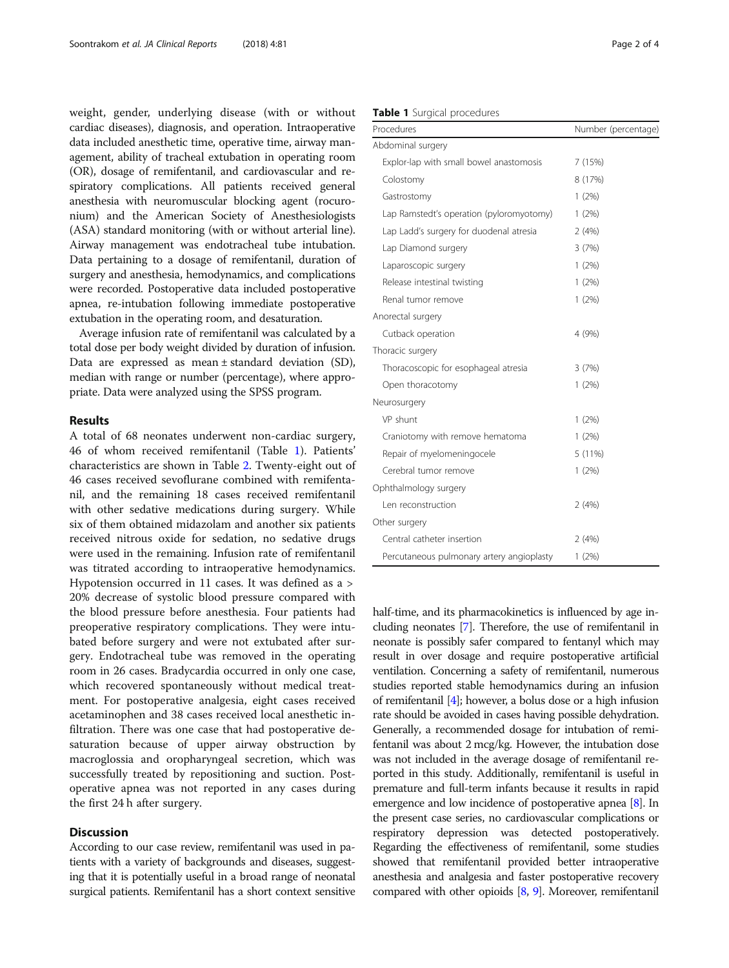weight, gender, underlying disease (with or without cardiac diseases), diagnosis, and operation. Intraoperative data included anesthetic time, operative time, airway management, ability of tracheal extubation in operating room (OR), dosage of remifentanil, and cardiovascular and respiratory complications. All patients received general anesthesia with neuromuscular blocking agent (rocuronium) and the American Society of Anesthesiologists (ASA) standard monitoring (with or without arterial line). Airway management was endotracheal tube intubation. Data pertaining to a dosage of remifentanil, duration of surgery and anesthesia, hemodynamics, and complications were recorded. Postoperative data included postoperative apnea, re-intubation following immediate postoperative extubation in the operating room, and desaturation.

Average infusion rate of remifentanil was calculated by a total dose per body weight divided by duration of infusion. Data are expressed as mean ± standard deviation (SD), median with range or number (percentage), where appropriate. Data were analyzed using the SPSS program.

## Results

A total of 68 neonates underwent non-cardiac surgery, 46 of whom received remifentanil (Table 1). Patients' characteristics are shown in Table [2](#page-2-0). Twenty-eight out of 46 cases received sevoflurane combined with remifentanil, and the remaining 18 cases received remifentanil with other sedative medications during surgery. While six of them obtained midazolam and another six patients received nitrous oxide for sedation, no sedative drugs were used in the remaining. Infusion rate of remifentanil was titrated according to intraoperative hemodynamics. Hypotension occurred in 11 cases. It was defined as a > 20% decrease of systolic blood pressure compared with the blood pressure before anesthesia. Four patients had preoperative respiratory complications. They were intubated before surgery and were not extubated after surgery. Endotracheal tube was removed in the operating room in 26 cases. Bradycardia occurred in only one case, which recovered spontaneously without medical treatment. For postoperative analgesia, eight cases received acetaminophen and 38 cases received local anesthetic infiltration. There was one case that had postoperative desaturation because of upper airway obstruction by macroglossia and oropharyngeal secretion, which was successfully treated by repositioning and suction. Postoperative apnea was not reported in any cases during the first 24 h after surgery.

## **Discussion**

According to our case review, remifentanil was used in patients with a variety of backgrounds and diseases, suggesting that it is potentially useful in a broad range of neonatal surgical patients. Remifentanil has a short context sensitive

## Table 1 Surgical procedures

| Procedures                                | Number (percentage) |
|-------------------------------------------|---------------------|
| Abdominal surgery                         |                     |
| Explor-lap with small bowel anastomosis   | 7(15%)              |
| Colostomy                                 | 8 (17%)             |
| Gastrostomy                               | 1(2%)               |
| Lap Ramstedt's operation (pyloromyotomy)  | 1(2%)               |
| Lap Ladd's surgery for duodenal atresia   | 2(4%)               |
| Lap Diamond surgery                       | 3(7%)               |
| Laparoscopic surgery                      | $1(2\%)$            |
| Release intestinal twisting               | 1(2%)               |
| Renal tumor remove                        | 1(2%)               |
| Anorectal surgery                         |                     |
| Cutback operation                         | 4 (9%)              |
| Thoracic surgery                          |                     |
| Thoracoscopic for esophageal atresia      | 3(7%)               |
| Open thoracotomy                          | 1(2%)               |
| Neurosurgery                              |                     |
| VP shunt                                  | $1(2\%)$            |
| Craniotomy with remove hematoma           | 1(2%)               |
| Repair of myelomeningocele                | 5 (11%)             |
| Cerebral tumor remove                     | 1(2%)               |
| Ophthalmology surgery                     |                     |
| Len reconstruction                        | 2(4%)               |
| Other surgery                             |                     |
| Central catheter insertion                | 2(4%)               |
| Percutaneous pulmonary artery angioplasty | 1(2%)               |

half-time, and its pharmacokinetics is influenced by age including neonates [\[7](#page-3-0)]. Therefore, the use of remifentanil in neonate is possibly safer compared to fentanyl which may result in over dosage and require postoperative artificial ventilation. Concerning a safety of remifentanil, numerous studies reported stable hemodynamics during an infusion of remifentanil [\[4\]](#page-3-0); however, a bolus dose or a high infusion rate should be avoided in cases having possible dehydration. Generally, a recommended dosage for intubation of remifentanil was about 2 mcg/kg. However, the intubation dose was not included in the average dosage of remifentanil reported in this study. Additionally, remifentanil is useful in premature and full-term infants because it results in rapid emergence and low incidence of postoperative apnea [[8](#page-3-0)]. In the present case series, no cardiovascular complications or respiratory depression was detected postoperatively. Regarding the effectiveness of remifentanil, some studies showed that remifentanil provided better intraoperative anesthesia and analgesia and faster postoperative recovery compared with other opioids [[8](#page-3-0), [9](#page-3-0)]. Moreover, remifentanil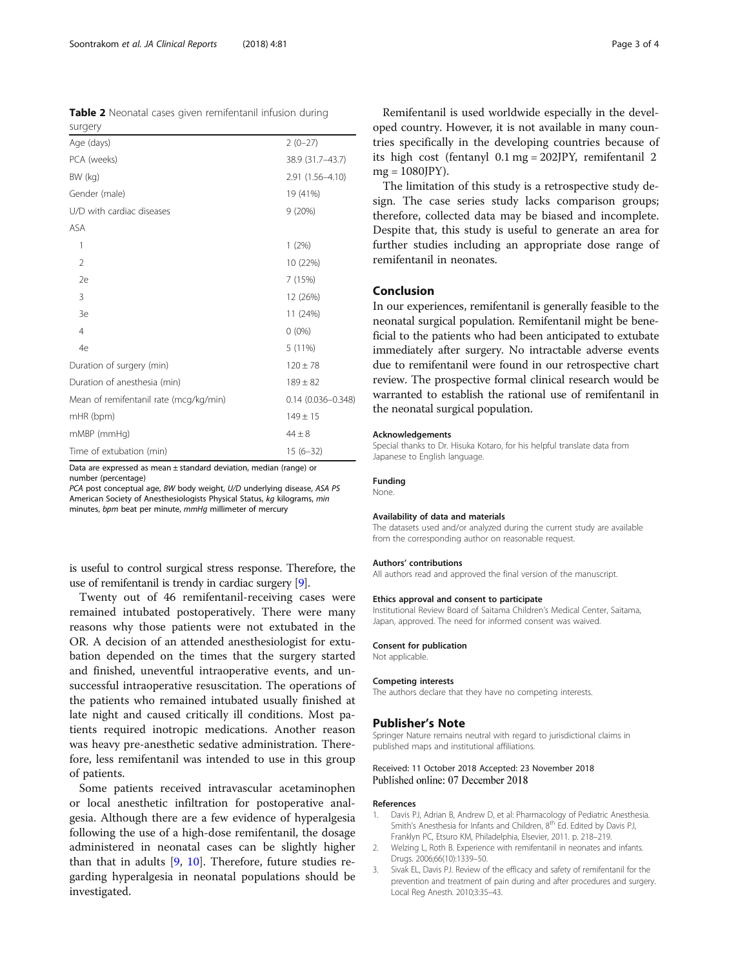Time of extubation (min) 15 (6–32) Data are expressed as mean ± standard deviation, median (range) or number (percentage)

mHR (bpm)  $149 \pm 15$ mMBP (mmHg)  $44 \pm 8$ 

PCA post conceptual age, BW body weight, U/D underlying disease, ASA PS American Society of Anesthesiologists Physical Status, kg kilograms, min minutes, bpm beat per minute, mmHg millimeter of mercury

Mean of remifentanil rate (mcg/kg/min) 0.14 (0.036–0.348)

is useful to control surgical stress response. Therefore, the use of remifentanil is trendy in cardiac surgery [[9](#page-3-0)].

Twenty out of 46 remifentanil-receiving cases were remained intubated postoperatively. There were many reasons why those patients were not extubated in the OR. A decision of an attended anesthesiologist for extubation depended on the times that the surgery started and finished, uneventful intraoperative events, and unsuccessful intraoperative resuscitation. The operations of the patients who remained intubated usually finished at late night and caused critically ill conditions. Most patients required inotropic medications. Another reason was heavy pre-anesthetic sedative administration. Therefore, less remifentanil was intended to use in this group of patients.

Some patients received intravascular acetaminophen or local anesthetic infiltration for postoperative analgesia. Although there are a few evidence of hyperalgesia following the use of a high-dose remifentanil, the dosage administered in neonatal cases can be slightly higher than that in adults [\[9](#page-3-0), [10\]](#page-3-0). Therefore, future studies regarding hyperalgesia in neonatal populations should be investigated.

Remifentanil is used worldwide especially in the developed country. However, it is not available in many countries specifically in the developing countries because of its high cost (fentanyl 0.1 mg = 202JPY, remifentanil 2 mg = 1080JPY).

The limitation of this study is a retrospective study design. The case series study lacks comparison groups; therefore, collected data may be biased and incomplete. Despite that, this study is useful to generate an area for further studies including an appropriate dose range of remifentanil in neonates.

#### Conclusion

In our experiences, remifentanil is generally feasible to the neonatal surgical population. Remifentanil might be beneficial to the patients who had been anticipated to extubate immediately after surgery. No intractable adverse events due to remifentanil were found in our retrospective chart review. The prospective formal clinical research would be warranted to establish the rational use of remifentanil in the neonatal surgical population.

#### Acknowledgements

Special thanks to Dr. Hisuka Kotaro, for his helpful translate data from Japanese to English language.

#### Funding

None.

#### Availability of data and materials

The datasets used and/or analyzed during the current study are available from the corresponding author on reasonable request.

#### Authors' contributions

All authors read and approved the final version of the manuscript.

#### Ethics approval and consent to participate

Institutional Review Board of Saitama Children's Medical Center, Saitama, Japan, approved. The need for informed consent was waived.

### Consent for publication

Not applicable.

#### Competing interests

The authors declare that they have no competing interests.

#### Publisher's Note

Springer Nature remains neutral with regard to jurisdictional claims in published maps and institutional affiliations.

#### Received: 11 October 2018 Accepted: 23 November 2018 Published online: 07 December 2018

#### References

- 1. Davis PJ, Adrian B, Andrew D, et al: Pharmacology of Pediatric Anesthesia. Smith's Anesthesia for Infants and Children, 8<sup>th</sup> Ed. Edited by Davis PJ, Franklyn PC, Etsuro KM, Philadelphia, Elsevier, 2011. p. 218–219.
- 2. Welzing L, Roth B. Experience with remifentanil in neonates and infants. Drugs. 2006;66(10):1339–50.
- 3. Sivak EL, Davis PJ. Review of the efficacy and safety of remifentanil for the prevention and treatment of pain during and after procedures and surgery. Local Reg Anesth. 2010;3:35–43.

surgery

<span id="page-2-0"></span>

| Soontrakom et al. JA Clinical Reports | $(2018)$ 4:81 | Page 3 of 4 |
|---------------------------------------|---------------|-------------|
|                                       |               |             |

| <b>Table 2</b> Neonatal cases given remifentanil infusion during |                                           |  |  |
|------------------------------------------------------------------|-------------------------------------------|--|--|
| surgery                                                          |                                           |  |  |
| Age (days)                                                       | $2(0-27)$                                 |  |  |
|                                                                  | $\sim$ $\sim$ $\sim$ $\sim$ $\sim$ $\sim$ |  |  |

| surgery                   |                  |
|---------------------------|------------------|
| Age (days)                | $2(0-27)$        |
| PCA (weeks)               | 38.9 (31.7-43.7) |
| BW (kg)                   | 2.91 (1.56-4.10) |
| Gender (male)             | 19 (41%)         |
| U/D with cardiac diseases | 9(20%)           |
| ASA                       |                  |
| 1                         | 1(2%)            |
| $\mathfrak{D}$            | 10 (22%)         |
| 2e                        | 7(15%)           |

3 12 (26%) 3e 11 (24%) 4 0 (0%) 4e 5 (11%) Duration of surgery (min)  $120 \pm 78$ Duration of anesthesia (min)  $189 \pm 82$